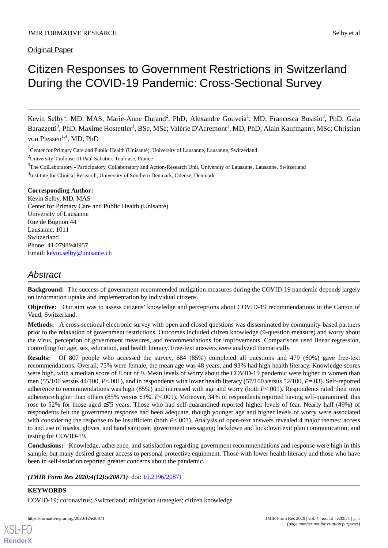Original Paper

# Citizen Responses to Government Restrictions in Switzerland During the COVID-19 Pandemic: Cross-Sectional Survey

Kevin Selby<sup>1</sup>, MD, MAS; Marie-Anne Durand<sup>2</sup>, PhD; Alexandre Gouveia<sup>1</sup>, MD; Francesca Bosisio<sup>3</sup>, PhD; Gaia Barazzetti<sup>3</sup>, PhD; Maxime Hostettler<sup>1</sup>, BSc, MSc; Valérie D'Acremont<sup>1</sup>, MD, PhD; Alain Kaufmann<sup>3</sup>, MSc; Christian von Plessen<sup>1,4</sup>, MD, PhD

<sup>1</sup>Center for Primary Care and Public Health (Unisanté), University of Lausanne, Lausanne, Switzerland

<sup>2</sup>University Toulouse III Paul Sabatier, Toulouse, France

<sup>3</sup>The ColLaboratory - Participatory, Collaboratory and Action-Research Unit, University of Lausanne, Lausanne, Switzerland

<sup>4</sup>Institute for Clinical Research, University of Southern Denmark, Odense, Denmark

#### **Corresponding Author:**

Kevin Selby, MD, MAS Center for Primary Care and Public Health (Unisanté) University of Lausanne Rue de Bugnon 44 Lausanne, 1011 Switzerland Phone: 41 0798940957 Email: [kevin.selby@unisante.ch](mailto:kevin.selby@unisante.ch)

# *Abstract*

**Background:** The success of government-recommended mitigation measures during the COVID-19 pandemic depends largely on information uptake and implementation by individual citizens.

**Objective:** Our aim was to assess citizens' knowledge and perceptions about COVID-19 recommendations in the Canton of Vaud, Switzerland.

**Methods:** A cross-sectional electronic survey with open and closed questions was disseminated by community-based partners prior to the relaxation of government restrictions. Outcomes included citizen knowledge (9-question measure) and worry about the virus, perception of government measures, and recommendations for improvements. Comparisons used linear regression, controlling for age, sex, education, and health literacy. Free-text answers were analyzed thematically.

**Results:** Of 807 people who accessed the survey, 684 (85%) completed all questions and 479 (60%) gave free-text recommendations. Overall, 75% were female, the mean age was 48 years, and 93% had high health literacy. Knowledge scores were high, with a median score of 8 out of 9. Mean levels of worry about the COVID-19 pandemic were higher in women than men (55/100 versus 44/100, *P*<.001), and in respondents with lower health literacy (57/100 versus 52/100, *P*=.03). Self-reported adherence to recommendations was high (85%) and increased with age and worry (both *P*<.001). Respondents rated their own adherence higher than others (85% versus 61%, *P*<.001). Moreover, 34% of respondents reported having self-quarantined; this rose to 52% for those aged ≥75 years. Those who had self-quarantined reported higher levels of fear. Nearly half (49%) of respondents felt the government response had been adequate, though younger age and higher levels of worry were associated with considering the response to be insufficient (both *P*<.001). Analysis of open-text answers revealed 4 major themes: access to and use of masks, gloves, and hand sanitizer; government messaging; lockdown and lockdown exit plan communication; and testing for COVID-19.

**Conclusions:** Knowledge, adherence, and satisfaction regarding government recommendations and response were high in this sample, but many desired greater access to personal protective equipment. Those with lower health literacy and those who have been in self-isolation reported greater concerns about the pandemic.

*(JMIR Form Res 2020;4(12):e20871)* doi:  $10.2196/20871$ 

# **KEYWORDS**

[XSL](http://www.w3.org/Style/XSL)•FO **[RenderX](http://www.renderx.com/)**

COVID-19; coronavirus; Switzerland; mitigation strategies; citizen knowledge

https://formative.jmir.org/2020/12/e20871 JMIR Form Res 2020 | vol. 4 | iss. 12 | e20871 | p. 1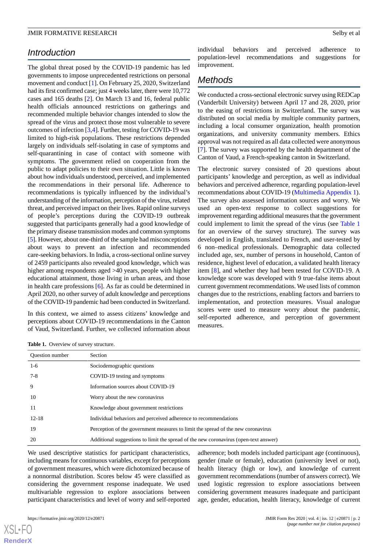# *Introduction*

The global threat posed by the COVID-19 pandemic has led governments to impose unprecedented restrictions on personal movement and conduct [[1\]](#page-5-0). On February 25, 2020, Switzerland had its first confirmed case; just 4 weeks later, there were 10,772 cases and 165 deaths [\[2](#page-5-1)]. On March 13 and 16, federal public health officials announced restrictions on gatherings and recommended multiple behavior changes intended to slow the spread of the virus and protect those most vulnerable to severe outcomes of infection [[3](#page-5-2)[,4](#page-5-3)]. Further, testing for COVID-19 was limited to high-risk populations. These restrictions depended largely on individuals self-isolating in case of symptoms and self-quarantining in case of contact with someone with symptoms. The government relied on cooperation from the public to adapt policies to their own situation. Little is known about how individuals understood, perceived, and implemented the recommendations in their personal life. Adherence to recommendations is typically influenced by the individual's understanding of the information, perception of the virus, related threat, and perceived impact on their lives. Rapid online surveys of people's perceptions during the COVID-19 outbreak suggested that participants generally had a good knowledge of the primary disease transmission modes and common symptoms [[5\]](#page-5-4). However, about one-third of the sample had misconceptions about ways to prevent an infection and recommended care-seeking behaviors. In India, a cross-sectional online survey of 2459 participants also revealed good knowledge, which was higher among respondents aged >40 years, people with higher educational attainment, those living in urban areas, and those in health care professions [[6\]](#page-5-5). As far as could be determined in April 2020, no other survey of adult knowledge and perceptions of the COVID-19 pandemic had been conducted in Switzerland.

<span id="page-1-0"></span>In this context, we aimed to assess citizens' knowledge and perceptions about COVID-19 recommendations in the Canton of Vaud, Switzerland. Further, we collected information about individual behaviors and perceived adherence to population-level recommendations and suggestions for improvement.

# *Methods*

We conducted a cross-sectional electronic survey using REDCap (Vanderbilt University) between April 17 and 28, 2020, prior to the easing of restrictions in Switzerland. The survey was distributed on social media by multiple community partners, including a local consumer organization, health promotion organizations, and university community members. Ethics approval was not required as all data collected were anonymous [[7\]](#page-5-6). The survey was supported by the health department of the Canton of Vaud, a French-speaking canton in Switzerland.

The electronic survey consisted of 20 questions about participants' knowledge and perception, as well as individual behaviors and perceived adherence, regarding population-level recommendations about COVID-19 [\(Multimedia Appendix 1\)](#page-5-7). The survey also assessed information sources and worry. We used an open-text response to collect suggestions for improvement regarding additional measures that the government could implement to limit the spread of the virus (see [Table 1](#page-1-0) for an overview of the survey structure). The survey was developed in English, translated to French, and user-tested by 6 non–medical professionals. Demographic data collected included age, sex, number of persons in household, Canton of residence, highest level of education, a validated health literacy item [[8\]](#page-5-8), and whether they had been tested for COVID-19. A knowledge score was developed with 9 true-false items about current government recommendations. We used lists of common changes due to the restrictions, enabling factors and barriers to implementation, and protection measures. Visual analogue scores were used to measure worry about the pandemic, self-reported adherence, and perception of government measures.

Table 1. Overview of survey structure.

| <b>Ouestion number</b> | Section                                                                              |
|------------------------|--------------------------------------------------------------------------------------|
| $1-6$                  | Sociodemographic questions                                                           |
| $7-8$                  | COVID-19 testing and symptoms                                                        |
| 9                      | Information sources about COVID-19                                                   |
| 10                     | Worry about the new coronavirus                                                      |
| 11                     | Knowledge about government restrictions                                              |
| $12 - 18$              | Individual behaviors and perceived adherence to recommendations                      |
| 19                     | Perception of the government measures to limit the spread of the new coronavirus     |
| 20                     | Additional suggestions to limit the spread of the new coronavirus (open-text answer) |

We used descriptive statistics for participant characteristics, including means for continuous variables, except for perceptions of government measures, which were dichotomized because of a nonnormal distribution. Scores below 45 were classified as considering the government response inadequate. We used multivariable regression to explore associations between participant characteristics and level of worry and self-reported

adherence; both models included participant age (continuous), gender (male or female), education (university level or not), health literacy (high or low), and knowledge of current government recommendations (number of answers correct). We used logistic regression to explore associations between considering government measures inadequate and participant age, gender, education, health literacy, knowledge of current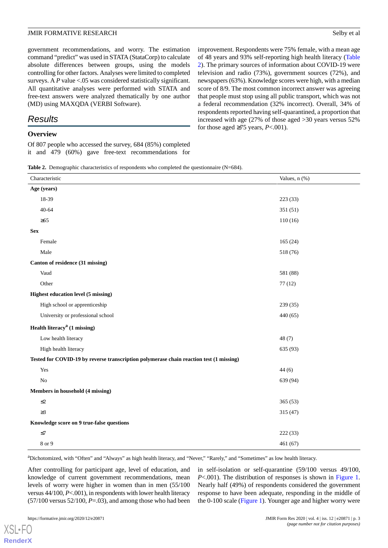government recommendations, and worry. The estimation command "predict" was used in STATA (StataCorp) to calculate absolute differences between groups, using the models controlling for other factors. Analyses were limited to completed surveys. A *P* value <.05 was considered statistically significant. All quantitative analyses were performed with STATA and free-text answers were analyzed thematically by one author (MD) using MAXQDA (VERBI Software).

# *Results*

# **Overview**

<span id="page-2-0"></span>Of 807 people who accessed the survey, 684 (85%) completed it and 479 (60%) gave free-text recommendations for improvement. Respondents were 75% female, with a mean age of 48 years and 93% self-reporting high health literacy ([Table](#page-2-0) [2\)](#page-2-0). The primary sources of information about COVID-19 were television and radio (73%), government sources (72%), and newspapers (63%). Knowledge scores were high, with a median score of 8/9. The most common incorrect answer was agreeing that people must stop using all public transport, which was not a federal recommendation (32% incorrect). Overall, 34% of respondents reported having self-quarantined, a proportion that increased with age (27% of those aged >30 years versus 52% for those aged  $\geq 75$  years, *P*<.001).

Table 2. Demographic characteristics of respondents who completed the questionnaire (N=684).

| Characteristic                                                                          | Values, n (%) |  |  |
|-----------------------------------------------------------------------------------------|---------------|--|--|
| Age (years)                                                                             |               |  |  |
| 18-39                                                                                   | 223 (33)      |  |  |
| $40 - 64$                                                                               | 351(51)       |  |  |
| $\geq 65$                                                                               | 110(16)       |  |  |
| <b>Sex</b>                                                                              |               |  |  |
| Female                                                                                  | 165(24)       |  |  |
| Male                                                                                    | 518 (76)      |  |  |
| Canton of residence (31 missing)                                                        |               |  |  |
| Vaud                                                                                    | 581 (88)      |  |  |
| Other                                                                                   | 77(12)        |  |  |
| <b>Highest education level (5 missing)</b>                                              |               |  |  |
| High school or apprenticeship                                                           | 239 (35)      |  |  |
| University or professional school                                                       | 440(65)       |  |  |
| Health literacy <sup>a</sup> (1 missing)                                                |               |  |  |
| Low health literacy                                                                     | 48(7)         |  |  |
| High health literacy                                                                    | 635 (93)      |  |  |
| Tested for COVID-19 by reverse transcription polymerase chain reaction test (1 missing) |               |  |  |
| Yes                                                                                     | 44(6)         |  |  |
| $\rm No$                                                                                | 639 (94)      |  |  |
| Members in household (4 missing)                                                        |               |  |  |
| $\leq$ 2                                                                                | 365(53)       |  |  |
| $\geq$ 3                                                                                | 315(47)       |  |  |
| Knowledge score on 9 true-false questions                                               |               |  |  |
| $\leq$ 7                                                                                | 222(33)       |  |  |
| 8 or 9                                                                                  | 461 (67)      |  |  |

<sup>a</sup>Dichotomized, with "Often" and "Always" as high health literacy, and "Never," "Rarely," and "Sometimes" as low health literacy.

After controlling for participant age, level of education, and knowledge of current government recommendations, mean levels of worry were higher in women than in men (55/100 versus 44/100, *P*<.001), in respondents with lower health literacy  $(57/100 \text{ versus } 52/100, P=.03)$ , and among those who had been

in self-isolation or self-quarantine (59/100 versus 49/100, *P*<.001). The distribution of responses is shown in [Figure 1](#page-3-0). Nearly half (49%) of respondents considered the government response to have been adequate, responding in the middle of the 0-100 scale [\(Figure 1\)](#page-3-0). Younger age and higher worry were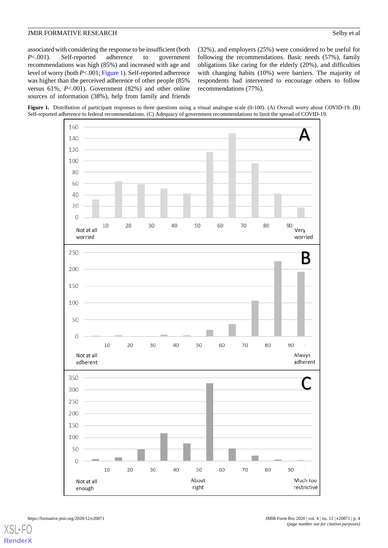associated with considering the response to be insufficient (both *P*<.001). Self-reported adherence to government recommendations was high (85%) and increased with age and level of worry (both *P*<.001; [Figure 1](#page-3-0)). Self-reported adherence was higher than the perceived adherence of other people (85% versus 61%, *P*<.001). Government (82%) and other online sources of information (38%), help from family and friends (32%), and employers (25%) were considered to be useful for following the recommendations. Basic needs (57%), family obligations like caring for the elderly (20%), and difficulties with changing habits (10%) were barriers. The majority of respondents had intervened to encourage others to follow recommendations (77%).

<span id="page-3-0"></span>

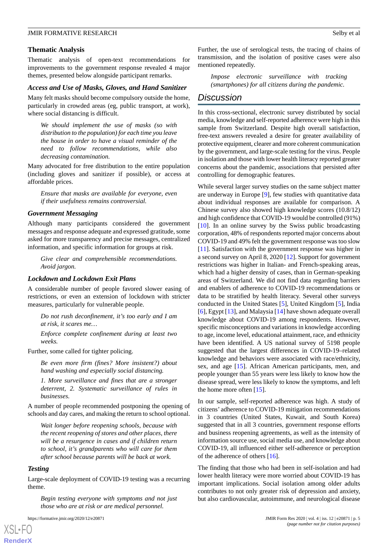#### **Thematic Analysis**

Thematic analysis of open-text recommendations for improvements to the government response revealed 4 major themes, presented below alongside participant remarks.

#### *Access and Use of Masks, Gloves, and Hand Sanitizer*

Many felt masks should become compulsory outside the home, particularly in crowded areas (eg, public transport, at work), where social distancing is difficult.

*We should implement the use of masks (so with distribution to the population) for each time you leave the house in order to have a visual reminder of the need to follow recommendations, while also decreasing contamination.*

Many advocated for free distribution to the entire population (including gloves and sanitizer if possible), or access at affordable prices.

*Ensure that masks are available for everyone, even if their usefulness remains controversial.*

#### *Government Messaging*

Although many participants considered the government messages and response adequate and expressed gratitude, some asked for more transparency and precise messages, centralized information, and specific information for groups at risk.

*Give clear and comprehensible recommendations. Avoid jargon.*

#### *Lockdown and Lockdown Exit Plans*

A considerable number of people favored slower easing of restrictions, or even an extension of lockdown with stricter measures, particularly for vulnerable people.

*Do not rush deconfinement, it's too early and I am at risk, it scares me…*

*Enforce complete confinement during at least two weeks.*

Further, some called for tighter policing.

*Be even more firm (fines? More insistent?) about hand washing and especially social distancing.*

*1. More surveillance and fines that are a stronger deterrent, 2. Systematic surveillance of rules in businesses.*

A number of people recommended postponing the opening of schools and day cares, and making the return to school optional.

*Wait longer before reopening schools, because with the recent reopening of stores and other places, there will be a resurgence in cases and if children return to school, it's grandparents who will care for them after school because parents will be back at work.*

#### *Testing*

Large-scale deployment of COVID-19 testing was a recurring theme.

*Begin testing everyone with symptoms and not just those who are at risk or are medical personnel.*

Further, the use of serological tests, the tracing of chains of transmission, and the isolation of positive cases were also mentioned repeatedly.

*Impose electronic surveillance with tracking (smartphones) for all citizens during the pandemic.*

# *Discussion*

In this cross-sectional, electronic survey distributed by social media, knowledge and self-reported adherence were high in this sample from Switzerland. Despite high overall satisfaction, free-text answers revealed a desire for greater availability of protective equipment, clearer and more coherent communication by the government, and large-scale testing for the virus. People in isolation and those with lower health literacy reported greater concerns about the pandemic, associations that persisted after controlling for demographic features.

While several larger survey studies on the same subject matter are underway in Europe [\[9](#page-6-0)], few studies with quantitative data about individual responses are available for comparison. A Chinese survey also showed high knowledge scores (10.8/12) and high confidence that COVID-19 would be controlled (91%) [[10\]](#page-6-1). In an online survey by the Swiss public broadcasting corporation, 48% of respondents reported major concerns about COVID-19 and 49% felt the government response was too slow [[11\]](#page-6-2). Satisfaction with the government response was higher in a second survey on April 8, 2020 [[12\]](#page-6-3). Support for government restrictions was higher in Italian- and French-speaking areas, which had a higher density of cases, than in German-speaking areas of Switzerland. We did not find data regarding barriers and enablers of adherence to COVID-19 recommendations or data to be stratified by health literacy. Several other surveys conducted in the United States [[5\]](#page-5-4), United Kingdom [[5\]](#page-5-4), India [[6\]](#page-5-5), Egypt [[13\]](#page-6-4), and Malaysia [[14\]](#page-6-5) have shown adequate overall knowledge about COVID-19 among respondents. However, specific misconceptions and variations in knowledge according to age, income level, educational attainment, race, and ethnicity have been identified. A US national survey of 5198 people suggested that the largest differences in COVID-19–related knowledge and behaviors were associated with race/ethnicity, sex, and age [\[15](#page-6-6)]. African American participants, men, and people younger than 55 years were less likely to know how the disease spread, were less likely to know the symptoms, and left the home more often [\[15](#page-6-6)].

In our sample, self-reported adherence was high. A study of citizens' adherence to COVID-19 mitigation recommendations in 3 countries (United States, Kuwait, and South Korea) suggested that in all 3 countries, government response efforts and business reopening agreements, as well as the intensity of information source use, social media use, and knowledge about COVID-19, all influenced either self-adherence or perception of the adherence of others [\[16](#page-6-7)].

The finding that those who had been in self-isolation and had lower health literacy were more worried about COVID-19 has important implications. Social isolation among older adults contributes to not only greater risk of depression and anxiety, but also cardiovascular, autoimmune, and neurological disease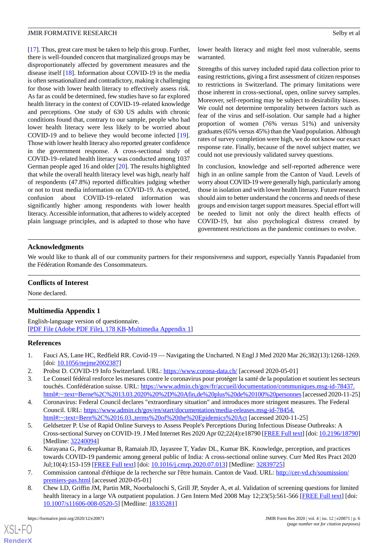[[17\]](#page-6-8). Thus, great care must be taken to help this group. Further, there is well-founded concern that marginalized groups may be disproportionately affected by government measures and the disease itself [\[18](#page-6-9)]. Information about COVID-19 in the media is often sensationalized and contradictory, making it challenging for those with lower health literacy to effectively assess risk. As far as could be determined, few studies have so far explored health literacy in the context of COVID-19–related knowledge and perceptions. One study of 630 US adults with chronic conditions found that, contrary to our sample, people who had lower health literacy were less likely to be worried about COVID-19 and to believe they would become infected [[19\]](#page-6-10). Those with lower health literacy also reported greater confidence in the government response. A cross-sectional study of COVID-19–related health literacy was conducted among 1037 German people aged 16 and older [[20\]](#page-6-11). The results highlighted that while the overall health literacy level was high, nearly half of respondents (47.8%) reported difficulties judging whether or not to trust media information on COVID-19. As expected, confusion about COVID-19–related information was significantly higher among respondents with lower health literacy. Accessible information, that adheres to widely accepted plain language principles, and is adapted to those who have

lower health literacy and might feel most vulnerable, seems warranted.

Strengths of this survey included rapid data collection prior to easing restrictions, giving a first assessment of citizen responses to restrictions in Switzerland. The primary limitations were those inherent in cross-sectional, open, online survey samples. Moreover, self-reporting may be subject to desirability biases. We could not determine temporality between factors such as fear of the virus and self-isolation. Our sample had a higher proportion of women (76% versus 51%) and university graduates (65% versus 45%) than the Vaud population. Although rates of survey completion were high, we do not know our exact response rate. Finally, because of the novel subject matter, we could not use previously validated survey questions.

In conclusion, knowledge and self-reported adherence were high in an online sample from the Canton of Vaud. Levels of worry about COVID-19 were generally high, particularly among those in isolation and with lower health literacy. Future research should aim to better understand the concerns and needs of these groups and envision target support measures. Special effort will be needed to limit not only the direct health effects of COVID-19, but also psychological distress created by government restrictions as the pandemic continues to evolve.

# **Acknowledgments**

We would like to thank all of our community partners for their responsiveness and support, especially Yannis Papadaniel from the Fédération Romande des Consommateurs.

# <span id="page-5-7"></span>**Conflicts of Interest**

None declared.

# **Multimedia Appendix 1**

<span id="page-5-0"></span>English-language version of questionnaire. [[PDF File \(Adobe PDF File\), 178 KB](https://jmir.org/api/download?alt_name=formative_v4i12e20871_app1.pdf&filename=2535585516a135ea9937c47d002873d5.pdf)-[Multimedia Appendix 1\]](https://jmir.org/api/download?alt_name=formative_v4i12e20871_app1.pdf&filename=2535585516a135ea9937c47d002873d5.pdf)

#### <span id="page-5-2"></span><span id="page-5-1"></span>**References**

- <span id="page-5-3"></span>1. Fauci AS, Lane HC, Redfield RR. Covid-19 — Navigating the Uncharted. N Engl J Med 2020 Mar 26;382(13):1268-1269. [doi: [10.1056/nejme2002387\]](http://dx.doi.org/10.1056/nejme2002387)
- 2. Probst D. COVID-19 Info Switzerland. URL: <https://www.corona-data.ch/> [accessed 2020-05-01]
- <span id="page-5-4"></span>3. Le Conseil fédéral renforce les mesures contre le coronavirus pour protéger la santé de la population et soutient les secteurs touchés. Confédération suisse. URL: [https://www.admin.ch/gov/fr/accueil/documentation/communiques.msg-id-78437.](https://www.admin.ch/gov/fr/accueil/documentation/communiques.msg-id-78437.html#:~:text=Berne%2C%2013.03.2020%20%2D%20Afin,de%20plus%20de%20100%20personnes) [html#:~:text=Berne%2C%2013.03.2020%20%2D%20Afin,de%20plus%20de%20100%20personnes](https://www.admin.ch/gov/fr/accueil/documentation/communiques.msg-id-78437.html#:~:text=Berne%2C%2013.03.2020%20%2D%20Afin,de%20plus%20de%20100%20personnes)[accessed 2020-11-25]
- <span id="page-5-5"></span>4. Coronavirus: Federal Council declares "extraordinary situation" and introduces more stringent measures. The Federal Council. URL: [https://www.admin.ch/gov/en/start/documentation/media-releases.msg-id-78454.](https://www.admin.ch/gov/en/start/documentation/media-releases.msg-id-78454.html#:~:text=Bern%2C%2016.03.,terms%20of%20the%20Epidemics%20Act) [html#:~:text=Bern%2C%2016.03.,terms%20of%20the%20Epidemics%20Act](https://www.admin.ch/gov/en/start/documentation/media-releases.msg-id-78454.html#:~:text=Bern%2C%2016.03.,terms%20of%20the%20Epidemics%20Act) [accessed 2020-11-25]
- <span id="page-5-6"></span>5. Geldsetzer P. Use of Rapid Online Surveys to Assess People's Perceptions During Infectious Disease Outbreaks: A Cross-sectional Survey on COVID-19. J Med Internet Res 2020 Apr 02;22(4):e18790 [\[FREE Full text](https://www.jmir.org/2020/4/e18790/)] [doi: [10.2196/18790\]](http://dx.doi.org/10.2196/18790) [Medline: [32240094](http://www.ncbi.nlm.nih.gov/entrez/query.fcgi?cmd=Retrieve&db=PubMed&list_uids=32240094&dopt=Abstract)]
- <span id="page-5-8"></span>6. Narayana G, Pradeepkumar B, Ramaiah JD, Jayasree T, Yadav DL, Kumar BK. Knowledge, perception, and practices towards COVID-19 pandemic among general public of India: A cross-sectional online survey. Curr Med Res Pract 2020 Jul;10(4):153-159 [[FREE Full text\]](http://europepmc.org/abstract/MED/32839725) [doi: [10.1016/j.cmrp.2020.07.013\]](http://dx.doi.org/10.1016/j.cmrp.2020.07.013) [Medline: [32839725\]](http://www.ncbi.nlm.nih.gov/entrez/query.fcgi?cmd=Retrieve&db=PubMed&list_uids=32839725&dopt=Abstract)
- 7. Commission cantonal d'éthique de la recherche sur l'être humain. Canton de Vaud. URL: [http://cer-vd.ch/soumission/](http://cer-vd.ch/soumission/premiers-pas.html) [premiers-pas.html](http://cer-vd.ch/soumission/premiers-pas.html) [accessed 2020-05-01]
- 8. Chew LD, Griffin JM, Partin MR, Noorbaloochi S, Grill JP, Snyder A, et al. Validation of screening questions for limited health literacy in a large VA outpatient population. J Gen Intern Med 2008 May 12;23(5):561-566 [[FREE Full text](http://europepmc.org/abstract/MED/18335281)] [doi: [10.1007/s11606-008-0520-5\]](http://dx.doi.org/10.1007/s11606-008-0520-5) [Medline: [18335281](http://www.ncbi.nlm.nih.gov/entrez/query.fcgi?cmd=Retrieve&db=PubMed&list_uids=18335281&dopt=Abstract)]